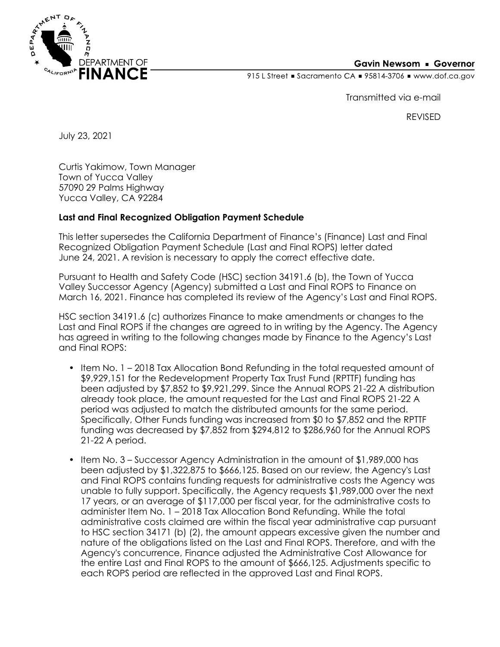

## **Gavin Newsom • Governor**

915 L Street Gacramento CA = 95814-3706 Www.dof.ca.gov

Transmitted via e-mail

REVISED

July 23, 2021

Curtis Yakimow, Town Manager Town of Yucca Valley 57090 29 Palms Highway Yucca Valley, CA 92284

## **Last and Final Recognized Obligation Payment Schedule**

This letter supersedes the California Department of Finance's (Finance) Last and Final Recognized Obligation Payment Schedule (Last and Final ROPS) letter dated June 24, 2021. A revision is necessary to apply the correct effective date.

Pursuant to Health and Safety Code (HSC) section 34191.6 (b), the Town of Yucca Valley Successor Agency (Agency) submitted a Last and Final ROPS to Finance on March 16, 2021. Finance has completed its review of the Agency's Last and Final ROPS.

HSC section 34191.6 (c) authorizes Finance to make amendments or changes to the Last and Final ROPS if the changes are agreed to in writing by the Agency. The Agency has agreed in writing to the following changes made by Finance to the Agency's Last and Final ROPS:

- Item No. 1 2018 Tax Allocation Bond Refunding in the total requested amount of \$9,929,151 for the Redevelopment Property Tax Trust Fund (RPTTF) funding has been adjusted by \$7,852 to \$9,921,299. Since the Annual ROPS 21-22 A distribution already took place, the amount requested for the Last and Final ROPS 21-22 A period was adjusted to match the distributed amounts for the same period. Specifically, Other Funds funding was increased from \$0 to \$7,852 and the RPTTF funding was decreased by \$7,852 from \$294,812 to \$286,960 for the Annual ROPS 21-22 A period.
- Item No. 3 Successor Agency Administration in the amount of \$1,989,000 has been adjusted by \$1,322,875 to \$666,125. Based on our review, the Agency's Last and Final ROPS contains funding requests for administrative costs the Agency was unable to fully support. Specifically, the Agency requests \$1,989,000 over the next 17 years, or an average of \$117,000 per fiscal year, for the administrative costs to administer Item No. 1 – 2018 Tax Allocation Bond Refunding. While the total administrative costs claimed are within the fiscal year administrative cap pursuant to HSC section 34171 (b) (2), the amount appears excessive given the number and nature of the obligations listed on the Last and Final ROPS. Therefore, and with the Agency's concurrence, Finance adjusted the Administrative Cost Allowance for the entire Last and Final ROPS to the amount of \$666,125. Adjustments specific to each ROPS period are reflected in the approved Last and Final ROPS.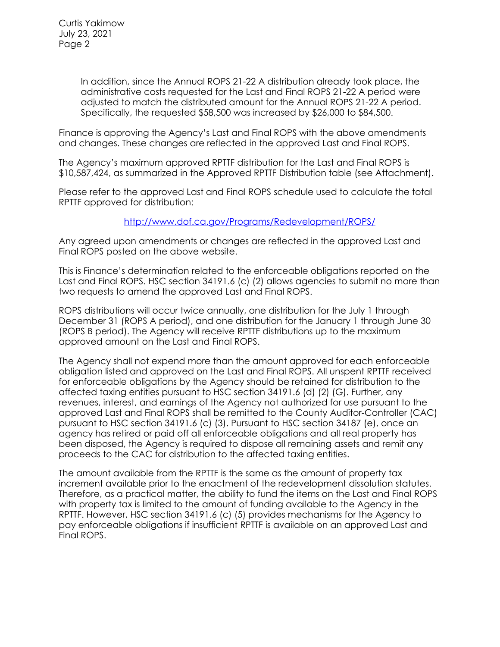Curtis Yakimow July 23, 2021 Page 2

> In addition, since the Annual ROPS 21-22 A distribution already took place, the administrative costs requested for the Last and Final ROPS 21-22 A period were adjusted to match the distributed amount for the Annual ROPS 21-22 A period. Specifically, the requested \$58,500 was increased by \$26,000 to \$84,500.

Finance is approving the Agency's Last and Final ROPS with the above amendments and changes. These changes are reflected in the approved Last and Final ROPS.

The Agency's maximum approved RPTTF distribution for the Last and Final ROPS is \$10,587,424, as summarized in the Approved RPTTF Distribution table (see Attachment).

Please refer to the approved Last and Final ROPS schedule used to calculate the total RPTTF approved for distribution:

## <http://www.dof.ca.gov/Programs/Redevelopment/ROPS/>

Any agreed upon amendments or changes are reflected in the approved Last and Final ROPS posted on the above website.

This is Finance's determination related to the enforceable obligations reported on the Last and Final ROPS. HSC section 34191.6 (c) (2) allows agencies to submit no more than two requests to amend the approved Last and Final ROPS.

ROPS distributions will occur twice annually, one distribution for the July 1 through December 31 (ROPS A period), and one distribution for the January 1 through June 30 (ROPS B period). The Agency will receive RPTTF distributions up to the maximum approved amount on the Last and Final ROPS.

The Agency shall not expend more than the amount approved for each enforceable obligation listed and approved on the Last and Final ROPS. All unspent RPTTF received for enforceable obligations by the Agency should be retained for distribution to the affected taxing entities pursuant to HSC section 34191.6 (d) (2) (G). Further, any revenues, interest, and earnings of the Agency not authorized for use pursuant to the approved Last and Final ROPS shall be remitted to the County Auditor-Controller (CAC) pursuant to HSC section 34191.6 (c) (3). Pursuant to HSC section 34187 (e), once an agency has retired or paid off all enforceable obligations and all real property has been disposed, the Agency is required to dispose all remaining assets and remit any proceeds to the CAC for distribution to the affected taxing entities.

The amount available from the RPTTF is the same as the amount of property tax increment available prior to the enactment of the redevelopment dissolution statutes. Therefore, as a practical matter, the ability to fund the items on the Last and Final ROPS with property tax is limited to the amount of funding available to the Agency in the RPTTF. However, HSC section 34191.6 (c) (5) provides mechanisms for the Agency to pay enforceable obligations if insufficient RPTTF is available on an approved Last and Final ROPS.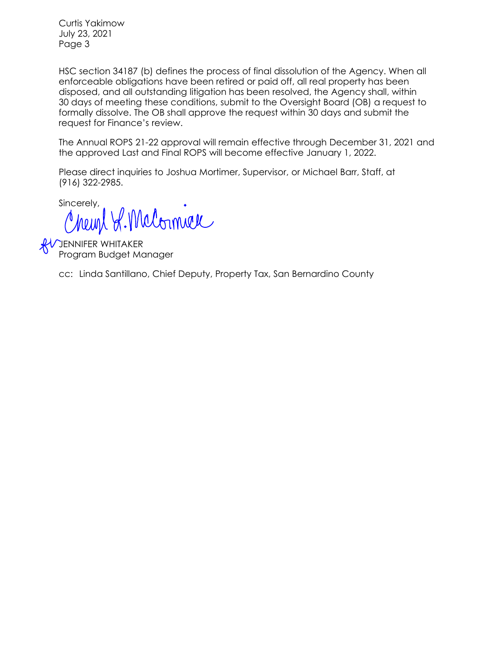Curtis Yakimow July 23, 2021 Page 3

HSC section 34187 (b) defines the process of final dissolution of the Agency. When all enforceable obligations have been retired or paid off, all real property has been disposed, and all outstanding litigation has been resolved, the Agency shall, within 30 days of meeting these conditions, submit to the Oversight Board (OB) a request to formally dissolve. The OB shall approve the request within 30 days and submit the request for Finance's review.

The Annual ROPS 21-22 approval will remain effective through December 31, 2021 and the approved Last and Final ROPS will become effective January 1, 2022.

Please direct inquiries to Joshua Mortimer, Supervisor, or Michael Barr, Staff, at (916) 322-2985.

sincerely, R. Malormal

**AV JENNIFER WHITAKER** Program Budget Manager

cc: Linda Santillano, Chief Deputy, Property Tax, San Bernardino County